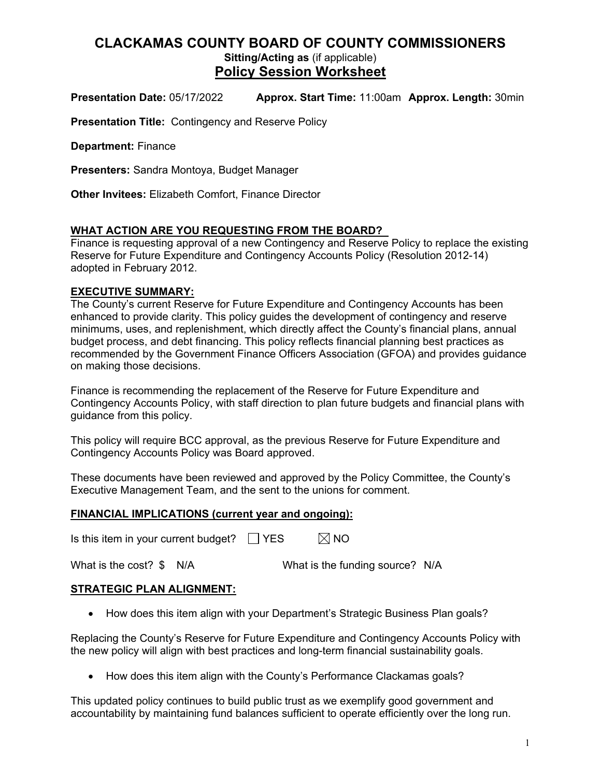## **CLACKAMAS COUNTY BOARD OF COUNTY COMMISSIONERS Sitting/Acting as** (if applicable) **Policy Session Worksheet**

**Presentation Date:** 05/17/2022 **Approx. Start Time:** 11:00am **Approx. Length:** 30min

**Presentation Title:** Contingency and Reserve Policy

**Department:** Finance

**Presenters:** Sandra Montoya, Budget Manager

**Other Invitees:** Elizabeth Comfort, Finance Director

## **WHAT ACTION ARE YOU REQUESTING FROM THE BOARD?**

Finance is requesting approval of a new Contingency and Reserve Policy to replace the existing Reserve for Future Expenditure and Contingency Accounts Policy (Resolution 2012-14) adopted in February 2012.

### **EXECUTIVE SUMMARY:**

The County's current Reserve for Future Expenditure and Contingency Accounts has been enhanced to provide clarity. This policy guides the development of contingency and reserve minimums, uses, and replenishment, which directly affect the County's financial plans, annual budget process, and debt financing. This policy reflects financial planning best practices as recommended by the Government Finance Officers Association (GFOA) and provides guidance on making those decisions.

Finance is recommending the replacement of the Reserve for Future Expenditure and Contingency Accounts Policy, with staff direction to plan future budgets and financial plans with guidance from this policy.

This policy will require BCC approval, as the previous Reserve for Future Expenditure and Contingency Accounts Policy was Board approved.

These documents have been reviewed and approved by the Policy Committee, the County's Executive Management Team, and the sent to the unions for comment.

### **FINANCIAL IMPLICATIONS (current year and ongoing):**

Is this item in your current budget?  $\Box$  YES  $\Box$  NO

What is the cost? \$ N/A What is the funding source? N/A

### **STRATEGIC PLAN ALIGNMENT:**

• How does this item align with your Department's Strategic Business Plan goals?

Replacing the County's Reserve for Future Expenditure and Contingency Accounts Policy with the new policy will align with best practices and long-term financial sustainability goals.

• How does this item align with the County's Performance Clackamas goals?

This updated policy continues to build public trust as we exemplify good government and accountability by maintaining fund balances sufficient to operate efficiently over the long run.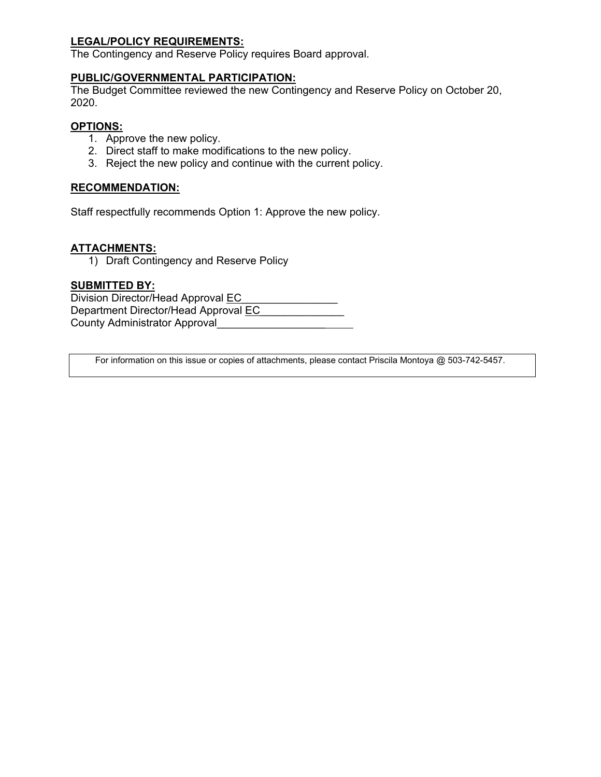### **LEGAL/POLICY REQUIREMENTS:**

The Contingency and Reserve Policy requires Board approval.

### **PUBLIC/GOVERNMENTAL PARTICIPATION:**

The Budget Committee reviewed the new Contingency and Reserve Policy on October 20, 2020.

### **OPTIONS:**

- 1. Approve the new policy.
- 2. Direct staff to make modifications to the new policy.
- 3. Reject the new policy and continue with the current policy.

### **RECOMMENDATION:**

Staff respectfully recommends Option 1: Approve the new policy.

### **ATTACHMENTS:**

1) Draft Contingency and Reserve Policy

### **SUBMITTED BY:**

Division Director/Head Approval EC Department Director/Head Approval EC County Administrator Approval \_\_\_\_\_\_\_\_\_\_\_\_\_\_

For information on this issue or copies of attachments, please contact Priscila Montoya @ 503-742-5457.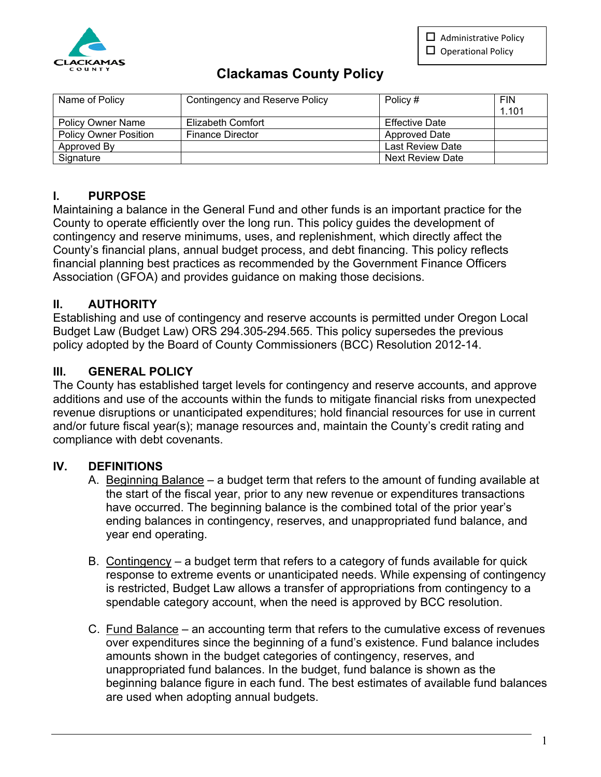$\Box$  Administrative Policy  $\square$  Operational Policy



# **Clackamas County Policy**

| Name of Policy               | Contingency and Reserve Policy | Policy #                | <b>FIN</b><br>1.101 |
|------------------------------|--------------------------------|-------------------------|---------------------|
| <b>Policy Owner Name</b>     | Elizabeth Comfort              | <b>Effective Date</b>   |                     |
| <b>Policy Owner Position</b> | <b>Finance Director</b>        | Approved Date           |                     |
| Approved By                  |                                | Last Review Date        |                     |
| Signature                    |                                | <b>Next Review Date</b> |                     |

# **I. PURPOSE**

Maintaining a balance in the General Fund and other funds is an important practice for the County to operate efficiently over the long run. This policy guides the development of contingency and reserve minimums, uses, and replenishment, which directly affect the County's financial plans, annual budget process, and debt financing. This policy reflects financial planning best practices as recommended by the Government Finance Officers Association (GFOA) and provides guidance on making those decisions.

# **II. AUTHORITY**

Establishing and use of contingency and reserve accounts is permitted under Oregon Local Budget Law (Budget Law) ORS 294.305-294.565. This policy supersedes the previous policy adopted by the Board of County Commissioners (BCC) Resolution 2012-14.

# **III. GENERAL POLICY**

The County has established target levels for contingency and reserve accounts, and approve additions and use of the accounts within the funds to mitigate financial risks from unexpected revenue disruptions or unanticipated expenditures; hold financial resources for use in current and/or future fiscal year(s); manage resources and, maintain the County's credit rating and compliance with debt covenants.

## **IV. DEFINITIONS**

- A. Beginning Balance a budget term that refers to the amount of funding available at the start of the fiscal year, prior to any new revenue or expenditures transactions have occurred. The beginning balance is the combined total of the prior year's ending balances in contingency, reserves, and unappropriated fund balance, and year end operating.
- B. Contingency a budget term that refers to a category of funds available for quick response to extreme events or unanticipated needs. While expensing of contingency is restricted, Budget Law allows a transfer of appropriations from contingency to a spendable category account, when the need is approved by BCC resolution.
- C. Fund Balance an accounting term that refers to the cumulative excess of revenues over expenditures since the beginning of a fund's existence. Fund balance includes amounts shown in the budget categories of contingency, reserves, and unappropriated fund balances. In the budget, fund balance is shown as the beginning balance figure in each fund. The best estimates of available fund balances are used when adopting annual budgets.

1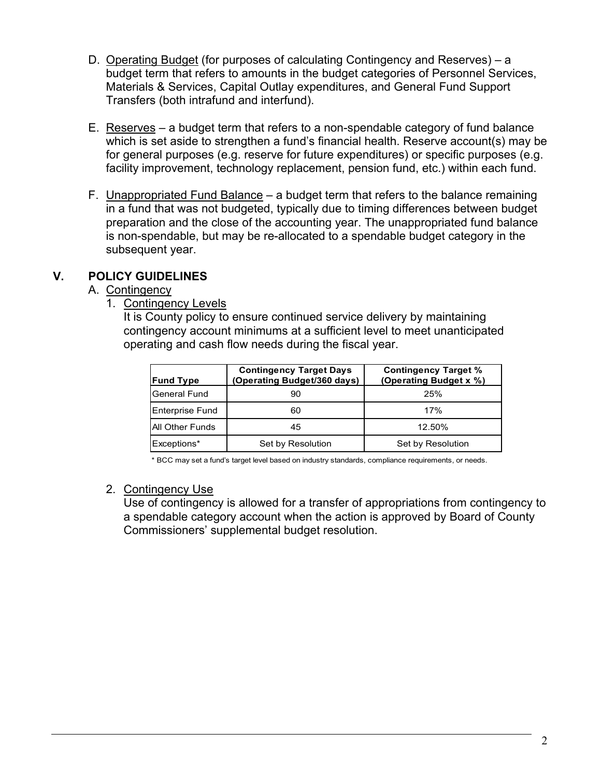- D. Operating Budget (for purposes of calculating Contingency and Reserves) a budget term that refers to amounts in the budget categories of Personnel Services, Materials & Services, Capital Outlay expenditures, and General Fund Support Transfers (both intrafund and interfund).
- E. Reserves a budget term that refers to a non-spendable category of fund balance which is set aside to strengthen a fund's financial health. Reserve account(s) may be for general purposes (e.g. reserve for future expenditures) or specific purposes (e.g. facility improvement, technology replacement, pension fund, etc.) within each fund.
- F. Unappropriated Fund Balance a budget term that refers to the balance remaining in a fund that was not budgeted, typically due to timing differences between budget preparation and the close of the accounting year. The unappropriated fund balance is non-spendable, but may be re-allocated to a spendable budget category in the subsequent year.

## **V. POLICY GUIDELINES**

## A. Contingency

1. Contingency Levels

It is County policy to ensure continued service delivery by maintaining contingency account minimums at a sufficient level to meet unanticipated operating and cash flow needs during the fiscal year.

| <b>Fund Type</b>       | <b>Contingency Target Days</b><br>(Operating Budget/360 days) | <b>Contingency Target %</b><br>(Operating Budget x %) |
|------------------------|---------------------------------------------------------------|-------------------------------------------------------|
| General Fund           | 90                                                            | 25%                                                   |
| Enterprise Fund        | 60                                                            | 17%                                                   |
| <b>All Other Funds</b> | 45                                                            | 12.50%                                                |
| Exceptions*            | Set by Resolution                                             | Set by Resolution                                     |

\* BCC may set a fund's target level based on industry standards, compliance requirements, or needs.

## 2. Contingency Use

Use of contingency is allowed for a transfer of appropriations from contingency to a spendable category account when the action is approved by Board of County Commissioners' supplemental budget resolution.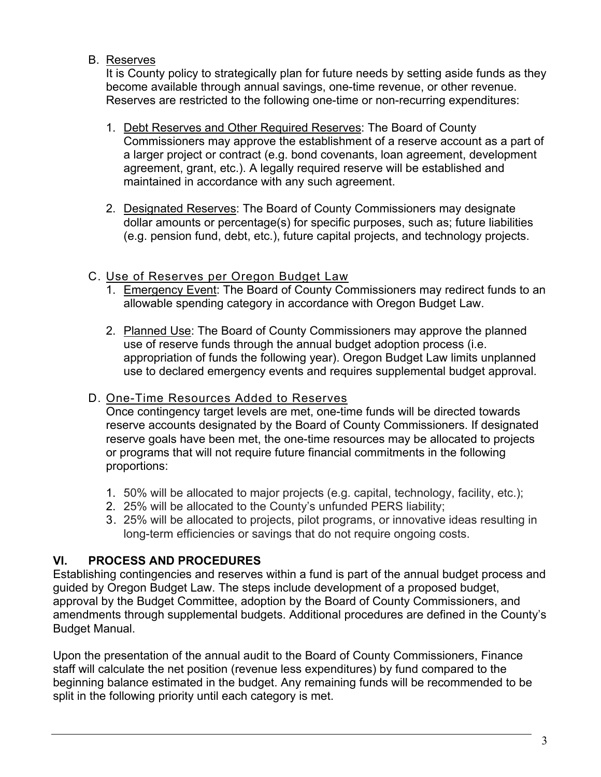## B. Reserves

It is County policy to strategically plan for future needs by setting aside funds as they become available through annual savings, one-time revenue, or other revenue. Reserves are restricted to the following one-time or non-recurring expenditures:

- 1. Debt Reserves and Other Required Reserves: The Board of County Commissioners may approve the establishment of a reserve account as a part of a larger project or contract (e.g. bond covenants, loan agreement, development agreement, grant, etc.). A legally required reserve will be established and maintained in accordance with any such agreement.
- 2. Designated Reserves: The Board of County Commissioners may designate dollar amounts or percentage(s) for specific purposes, such as; future liabilities (e.g. pension fund, debt, etc.), future capital projects, and technology projects.

# C. Use of Reserves per Oregon Budget Law

- 1. Emergency Event: The Board of County Commissioners may redirect funds to an allowable spending category in accordance with Oregon Budget Law.
- 2. Planned Use: The Board of County Commissioners may approve the planned use of reserve funds through the annual budget adoption process (i.e. appropriation of funds the following year). Oregon Budget Law limits unplanned use to declared emergency events and requires supplemental budget approval.

## D. One-Time Resources Added to Reserves

Once contingency target levels are met, one-time funds will be directed towards reserve accounts designated by the Board of County Commissioners. If designated reserve goals have been met, the one-time resources may be allocated to projects or programs that will not require future financial commitments in the following proportions:

- 1. 50% will be allocated to major projects (e.g. capital, technology, facility, etc.);
- 2. 25% will be allocated to the County's unfunded PERS liability;
- 3. 25% will be allocated to projects, pilot programs, or innovative ideas resulting in long-term efficiencies or savings that do not require ongoing costs.

# **VI. PROCESS AND PROCEDURES**

Establishing contingencies and reserves within a fund is part of the annual budget process and guided by Oregon Budget Law. The steps include development of a proposed budget, approval by the Budget Committee, adoption by the Board of County Commissioners, and amendments through supplemental budgets. Additional procedures are defined in the County's Budget Manual.

Upon the presentation of the annual audit to the Board of County Commissioners, Finance staff will calculate the net position (revenue less expenditures) by fund compared to the beginning balance estimated in the budget. Any remaining funds will be recommended to be split in the following priority until each category is met.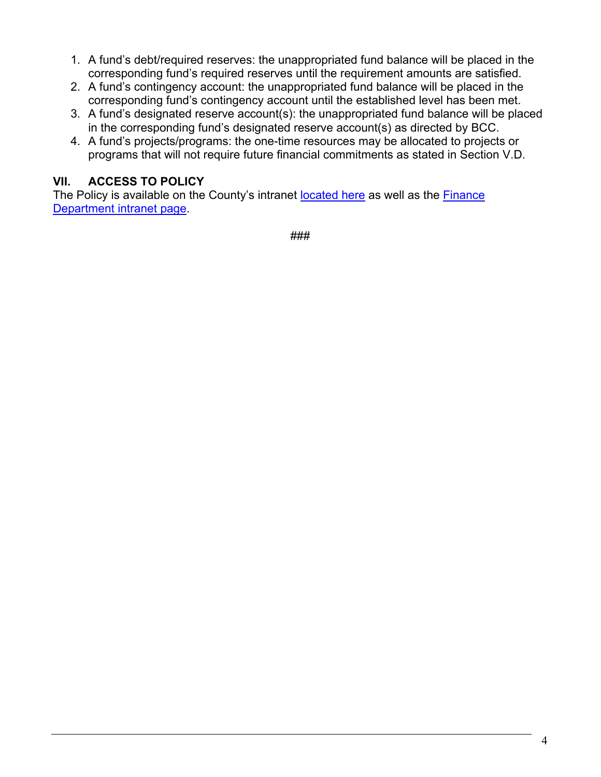- 1. A fund's debt/required reserves: the unappropriated fund balance will be placed in the corresponding fund's required reserves until the requirement amounts are satisfied.
- 2. A fund's contingency account: the unappropriated fund balance will be placed in the corresponding fund's contingency account until the established level has been met.
- 3. A fund's designated reserve account(s): the unappropriated fund balance will be placed in the corresponding fund's designated reserve account(s) as directed by BCC.
- 4. A fund's projects/programs: the one-time resources may be allocated to projects or programs that will not require future financial commitments as stated in Section V.D.

# **VII. ACCESS TO POLICY**

The Policy is available on the County's intranet [located here](http://web1.clackamas.us/bccadmin/county-policies) as well as the Finance [Department intranet page.](http://web1.clackamas.us/finance/policies.html)

###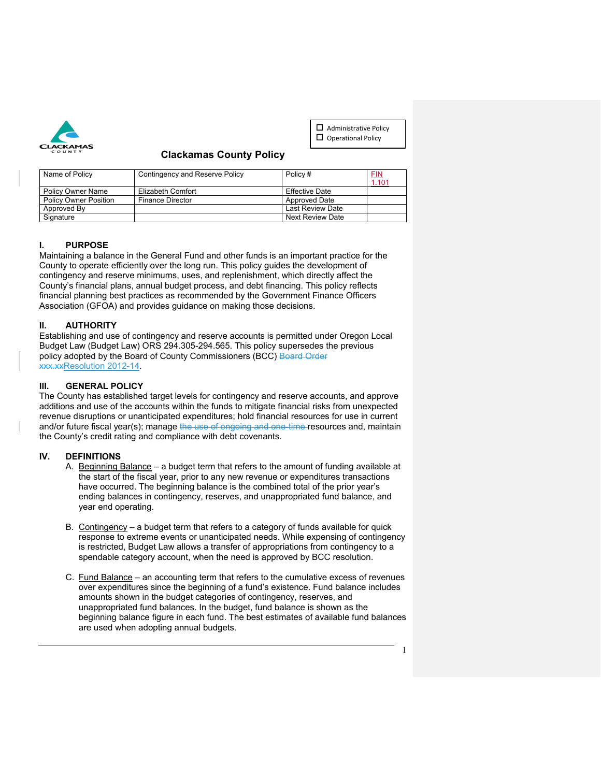

 $\Box$  Administrative Policy  $\square$  Operational Policy

### **Clackamas County Policy**

| Name of Policy               | Contingency and Reserve Policy | Policy #                | <u>FIN</u><br>1.101 |
|------------------------------|--------------------------------|-------------------------|---------------------|
| <b>Policy Owner Name</b>     | Elizabeth Comfort              | <b>Effective Date</b>   |                     |
| <b>Policy Owner Position</b> | <b>Finance Director</b>        | <b>Approved Date</b>    |                     |
| Approved By                  |                                | Last Review Date        |                     |
| Signature                    |                                | <b>Next Review Date</b> |                     |

#### **I. PURPOSE**

Maintaining a balance in the General Fund and other funds is an important practice for the County to operate efficiently over the long run. This policy guides the development of contingency and reserve minimums, uses, and replenishment, which directly affect the County's financial plans, annual budget process, and debt financing. This policy reflects financial planning best practices as recommended by the Government Finance Officers Association (GFOA) and provides guidance on making those decisions.

#### **II. AUTHORITY**

Establishing and use of contingency and reserve accounts is permitted under Oregon Local Budget Law (Budget Law) ORS 294.305-294.565. This policy supersedes the previous policy adopted by the Board of County Commissioners (BCC) Board Order xxx.xxResolution 2012-14.

#### **III. GENERAL POLICY**

The County has established target levels for contingency and reserve accounts, and approve additions and use of the accounts within the funds to mitigate financial risks from unexpected revenue disruptions or unanticipated expenditures; hold financial resources for use in current and/or future fiscal year(s); manage the use of ongoing and one-time resources and, maintain the County's credit rating and compliance with debt covenants.

#### **IV. DEFINITIONS**

- A. Beginning Balance a budget term that refers to the amount of funding available at the start of the fiscal year, prior to any new revenue or expenditures transactions have occurred. The beginning balance is the combined total of the prior year's ending balances in contingency, reserves, and unappropriated fund balance, and year end operating.
- B. Contingency a budget term that refers to a category of funds available for quick response to extreme events or unanticipated needs. While expensing of contingency is restricted, Budget Law allows a transfer of appropriations from contingency to a spendable category account, when the need is approved by BCC resolution.
- C. Fund Balance an accounting term that refers to the cumulative excess of revenues over expenditures since the beginning of a fund's existence. Fund balance includes amounts shown in the budget categories of contingency, reserves, and unappropriated fund balances. In the budget, fund balance is shown as the beginning balance figure in each fund. The best estimates of available fund balances are used when adopting annual budgets.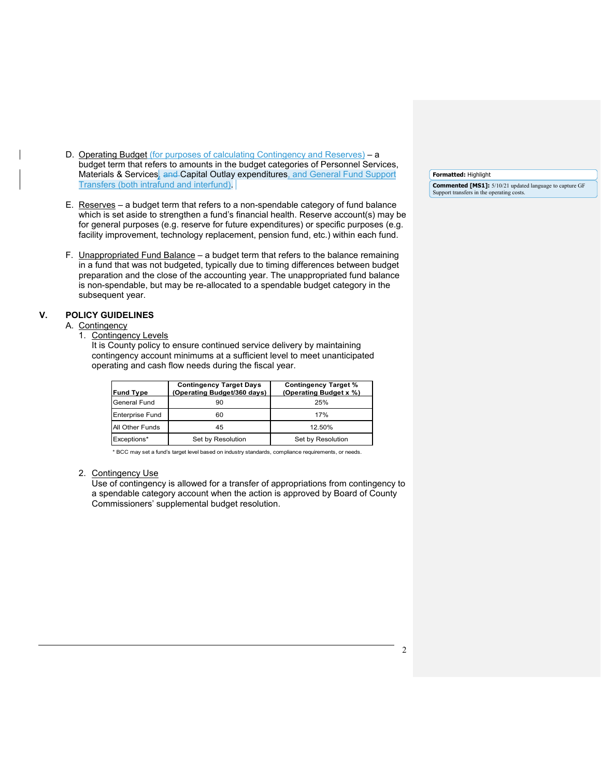- D. Operating Budget (for purposes of calculating Contingency and Reserves) a budget term that refers to amounts in the budget categories of Personnel Services, Materials & Services, and Capital Outlay expenditures, and General Fund Support Transfers (both intrafund and interfund).
- E. Reserves a budget term that refers to a non-spendable category of fund balance which is set aside to strengthen a fund's financial health. Reserve account(s) may be for general purposes (e.g. reserve for future expenditures) or specific purposes (e.g. facility improvement, technology replacement, pension fund, etc.) within each fund.
- F. Unappropriated Fund Balance a budget term that refers to the balance remaining in a fund that was not budgeted, typically due to timing differences between budget preparation and the close of the accounting year. The unappropriated fund balance is non-spendable, but may be re-allocated to a spendable budget category in the subsequent year.

#### **V. POLICY GUIDELINES**

#### A. Contingency

1. Contingency Levels

It is County policy to ensure continued service delivery by maintaining contingency account minimums at a sufficient level to meet unanticipated operating and cash flow needs during the fiscal year.

| <b>Fund Type</b>       | <b>Contingency Target Days</b><br>(Operating Budget/360 days) | <b>Contingency Target %</b><br>(Operating Budget x %) |
|------------------------|---------------------------------------------------------------|-------------------------------------------------------|
| General Fund           | 90                                                            | 25%                                                   |
| <b>Enterprise Fund</b> | 60                                                            | 17%                                                   |
| All Other Funds        | 45                                                            | 12.50%                                                |
| Exceptions*            | Set by Resolution                                             | Set by Resolution                                     |

\* BCC may set a fund's target level based on industry standards, compliance requirements, or needs.

#### 2. Contingency Use

Use of contingency is allowed for a transfer of appropriations from contingency to a spendable category account when the action is approved by Board of County Commissioners' supplemental budget resolution.

**Formatted:** Highlight **Commented [MS1]:** 5/10/21 updated language to capture GF Support transfers in the operating costs.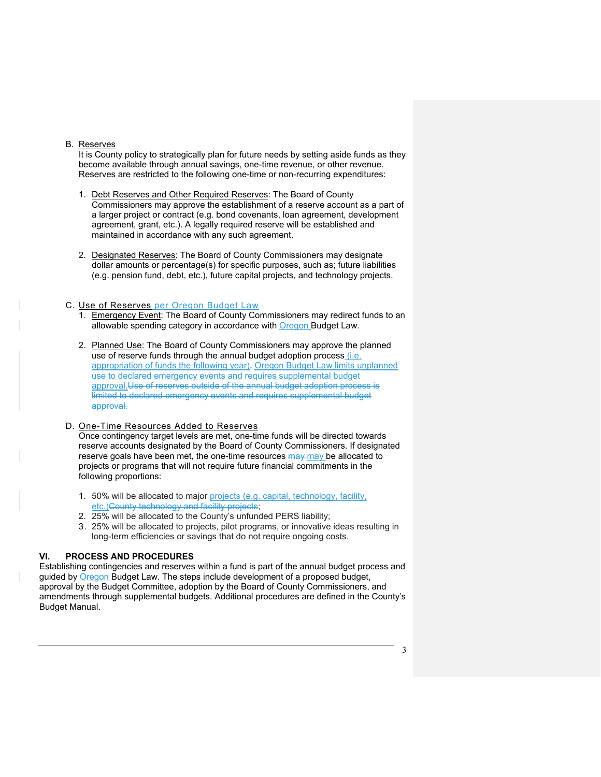#### B. Reserves

It is County policy to strategically plan for future needs by setting aside funds as they become available through annual savings, one-time revenue, or other revenue. Reserves are restricted to the following one-time or non-recurring expenditures:

- 1. Debt Reserves and Other Required Reserves: The Board of County Commissioners may approve the establishment of a reserve account as a part of a larger project or contract (e.g. bond covenants, loan agreement, development agreement, grant, etc.). A legally required reserve will be established and maintained in accordance with any such agreement.
- 2. Designated Reserves: The Board of County Commissioners may designate dollar amounts or percentage(s) for specific purposes, such as; future liabilities (e.g. pension fund, debt, etc.), future capital projects, and technology projects.

#### C. Use of Reserves per Oregon Budget Law

- 1. Emergency Event: The Board of County Commissioners may redirect funds to an allowable spending category in accordance with Oregon Budget Law.
- 2. Planned Use: The Board of County Commissioners may approve the planned use of reserve funds through the annual budget adoption process (i.e. appropriation of funds the following year). Oregon Budget Law limits unplanned use to declared emergency events and requires supplemental budget approval.Use of reserves outside of the annual budget adoption process is limited to declared emergency events and requires supplemental budget approval.

#### D. One-Time Resources Added to Reserves

Once contingency target levels are met, one-time funds will be directed towards reserve accounts designated by the Board of County Commissioners. If designated reserve goals have been met, the one-time resources may may be allocated to projects or programs that will not require future financial commitments in the following proportions:

- 1. 50% will be allocated to major projects (e.g. capital, technology, facility, etc.)County technology and facility projects;
- 2. 25% will be allocated to the County's unfunded PERS liability;
- 3. 25% will be allocated to projects, pilot programs, or innovative ideas resulting in long-term efficiencies or savings that do not require ongoing costs.

#### **VI. PROCESS AND PROCEDURES**

Establishing contingencies and reserves within a fund is part of the annual budget process and guided by **Oregon Budget Law. The steps include development of a proposed budget**, approval by the Budget Committee, adoption by the Board of County Commissioners, and amendments through supplemental budgets. Additional procedures are defined in the County's Budget Manual.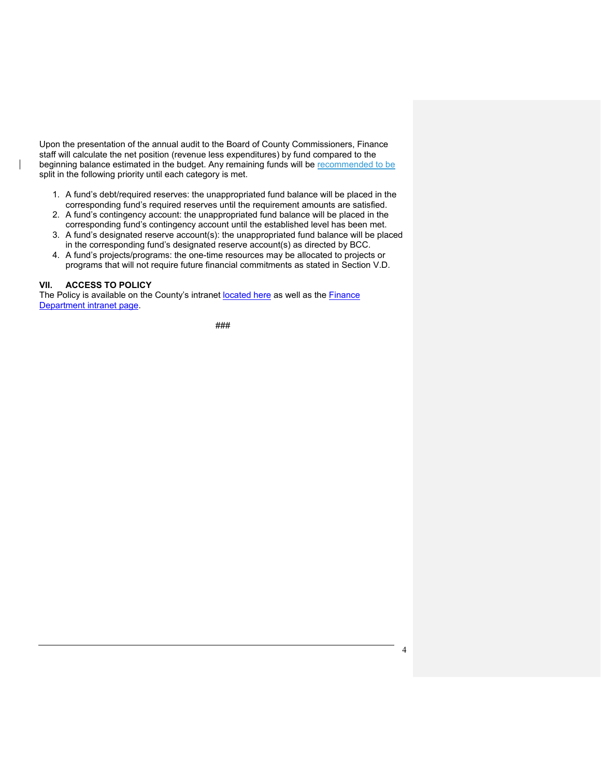Upon the presentation of the annual audit to the Board of County Commissioners, Finance staff will calculate the net position (revenue less expenditures) by fund compared to the beginning balance estimated in the budget. Any remaining funds will be recommended to be split in the following priority until each category is met.

- 1. A fund's debt/required reserves: the unappropriated fund balance will be placed in the corresponding fund's required reserves until the requirement amounts are satisfied.
- 2. A fund's contingency account: the unappropriated fund balance will be placed in the corresponding fund's contingency account until the established level has been met.
- 3. A fund's designated reserve account(s): the unappropriated fund balance will be placed in the corresponding fund's designated reserve account(s) as directed by BCC.
- 4. A fund's projects/programs: the one-time resources may be allocated to projects or programs that will not require future financial commitments as stated in Section V.D.

#### **VII. ACCESS TO POLICY**

The Policy is available on the County's intranet [located here](http://web1.clackamas.us/bccadmin/county-policies) as well as the [Finance](http://web1.clackamas.us/finance/policies.html)  [Department intranet page.](http://web1.clackamas.us/finance/policies.html)

###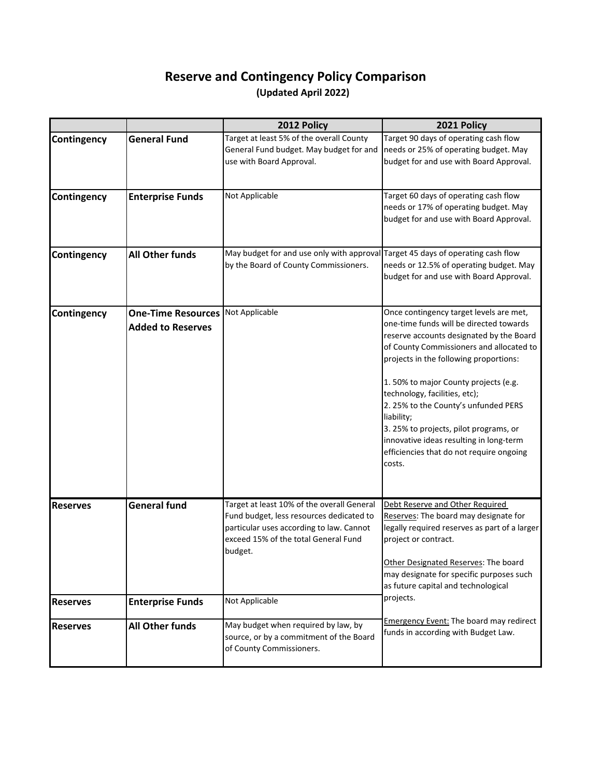# **(Updated April 2022) Reserve and Contingency Policy Comparison**

|                 |                                                       | 2012 Policy                                                                                                                                                                           | 2021 Policy                                                                                                                                                                                                                                                                                                                                                                                                                                                                                    |
|-----------------|-------------------------------------------------------|---------------------------------------------------------------------------------------------------------------------------------------------------------------------------------------|------------------------------------------------------------------------------------------------------------------------------------------------------------------------------------------------------------------------------------------------------------------------------------------------------------------------------------------------------------------------------------------------------------------------------------------------------------------------------------------------|
| Contingency     | <b>General Fund</b>                                   | Target at least 5% of the overall County<br>General Fund budget. May budget for and<br>use with Board Approval.                                                                       | Target 90 days of operating cash flow<br>needs or 25% of operating budget. May<br>budget for and use with Board Approval.                                                                                                                                                                                                                                                                                                                                                                      |
| Contingency     | <b>Enterprise Funds</b>                               | Not Applicable                                                                                                                                                                        | Target 60 days of operating cash flow<br>needs or 17% of operating budget. May<br>budget for and use with Board Approval.                                                                                                                                                                                                                                                                                                                                                                      |
| Contingency     | <b>All Other funds</b>                                | May budget for and use only with approval<br>by the Board of County Commissioners.                                                                                                    | Target 45 days of operating cash flow<br>needs or 12.5% of operating budget. May<br>budget for and use with Board Approval.                                                                                                                                                                                                                                                                                                                                                                    |
| Contingency     | <b>One-Time Resources</b><br><b>Added to Reserves</b> | Not Applicable                                                                                                                                                                        | Once contingency target levels are met,<br>one-time funds will be directed towards<br>reserve accounts designated by the Board<br>of County Commissioners and allocated to<br>projects in the following proportions:<br>1.50% to major County projects (e.g.<br>technology, facilities, etc);<br>2. 25% to the County's unfunded PERS<br>liability;<br>3. 25% to projects, pilot programs, or<br>innovative ideas resulting in long-term<br>efficiencies that do not require ongoing<br>costs. |
| <b>Reserves</b> | <b>General fund</b>                                   | Target at least 10% of the overall General<br>Fund budget, less resources dedicated to<br>particular uses according to law. Cannot<br>exceed 15% of the total General Fund<br>budget. | Debt Reserve and Other Required<br>Reserves: The board may designate for<br>legally required reserves as part of a larger<br>project or contract.<br>Other Designated Reserves: The board<br>may designate for specific purposes such<br>as future capital and technological                                                                                                                                                                                                                   |
| <b>Reserves</b> | <b>Enterprise Funds</b>                               | Not Applicable                                                                                                                                                                        | projects.                                                                                                                                                                                                                                                                                                                                                                                                                                                                                      |
| <b>Reserves</b> | <b>All Other funds</b>                                | May budget when required by law, by<br>source, or by a commitment of the Board<br>of County Commissioners.                                                                            | <b>Emergency Event: The board may redirect</b><br>funds in according with Budget Law.                                                                                                                                                                                                                                                                                                                                                                                                          |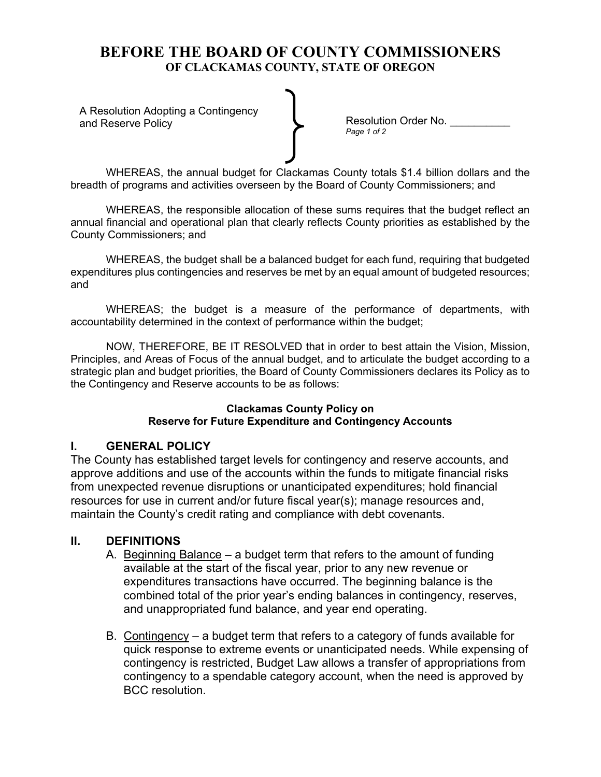A Resolution Adopting a Contingency

and Reserve Policy **Resolution Order No.** 2014. **Resolution Order No.** 2014.

WHEREAS, the annual budget for Clackamas County totals \$1.4 billion dollars and the breadth of programs and activities overseen by the Board of County Commissioners; and

WHEREAS, the responsible allocation of these sums requires that the budget reflect an annual financial and operational plan that clearly reflects County priorities as established by the County Commissioners; and

WHEREAS, the budget shall be a balanced budget for each fund, requiring that budgeted expenditures plus contingencies and reserves be met by an equal amount of budgeted resources; and

WHEREAS; the budget is a measure of the performance of departments, with accountability determined in the context of performance within the budget;

NOW, THEREFORE, BE IT RESOLVED that in order to best attain the Vision, Mission, Principles, and Areas of Focus of the annual budget, and to articulate the budget according to a strategic plan and budget priorities, the Board of County Commissioners declares its Policy as to the Contingency and Reserve accounts to be as follows:

### **Clackamas County Policy on Reserve for Future Expenditure and Contingency Accounts**

## **I. GENERAL POLICY**

The County has established target levels for contingency and reserve accounts, and approve additions and use of the accounts within the funds to mitigate financial risks from unexpected revenue disruptions or unanticipated expenditures; hold financial resources for use in current and/or future fiscal year(s); manage resources and, maintain the County's credit rating and compliance with debt covenants.

## **II. DEFINITIONS**

- A. Beginning Balance a budget term that refers to the amount of funding available at the start of the fiscal year, prior to any new revenue or expenditures transactions have occurred. The beginning balance is the combined total of the prior year's ending balances in contingency, reserves, and unappropriated fund balance, and year end operating.
- B. Contingency a budget term that refers to a category of funds available for quick response to extreme events or unanticipated needs. While expensing of contingency is restricted, Budget Law allows a transfer of appropriations from contingency to a spendable category account, when the need is approved by BCC resolution.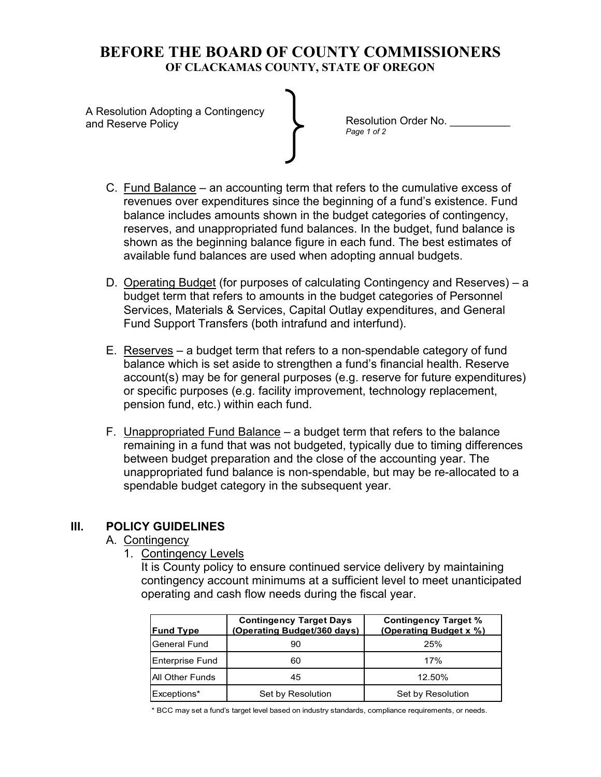A Resolution Adopting a Contingency and Reserve Policy

Resolution Order No. \_\_\_\_\_\_\_\_\_\_\_ *Page 1 of 2* 

- C. Fund Balance an accounting term that refers to the cumulative excess of revenues over expenditures since the beginning of a fund's existence. Fund balance includes amounts shown in the budget categories of contingency, reserves, and unappropriated fund balances. In the budget, fund balance is shown as the beginning balance figure in each fund. The best estimates of available fund balances are used when adopting annual budgets.
- D. Operating Budget (for purposes of calculating Contingency and Reserves) a budget term that refers to amounts in the budget categories of Personnel Services, Materials & Services, Capital Outlay expenditures, and General Fund Support Transfers (both intrafund and interfund).
- E. Reserves a budget term that refers to a non-spendable category of fund balance which is set aside to strengthen a fund's financial health. Reserve account(s) may be for general purposes (e.g. reserve for future expenditures) or specific purposes (e.g. facility improvement, technology replacement, pension fund, etc.) within each fund.
- F. Unappropriated Fund Balance a budget term that refers to the balance remaining in a fund that was not budgeted, typically due to timing differences between budget preparation and the close of the accounting year. The unappropriated fund balance is non-spendable, but may be re-allocated to a spendable budget category in the subsequent year.

## **III. POLICY GUIDELINES**

## A. Contingency

1. Contingency Levels

It is County policy to ensure continued service delivery by maintaining contingency account minimums at a sufficient level to meet unanticipated operating and cash flow needs during the fiscal year.

| <b>Fund Type</b>        | <b>Contingency Target Days</b><br>(Operating Budget/360 days) | <b>Contingency Target %</b><br>(Operating Budget x %) |
|-------------------------|---------------------------------------------------------------|-------------------------------------------------------|
| General Fund            | 90                                                            | 25%                                                   |
| Enterprise Fund         | 60                                                            | 17%                                                   |
| <b>IAII Other Funds</b> | 45                                                            | 12.50%                                                |
| Exceptions*             | Set by Resolution                                             | Set by Resolution                                     |

\* BCC may set a fund's target level based on industry standards, compliance requirements, or needs.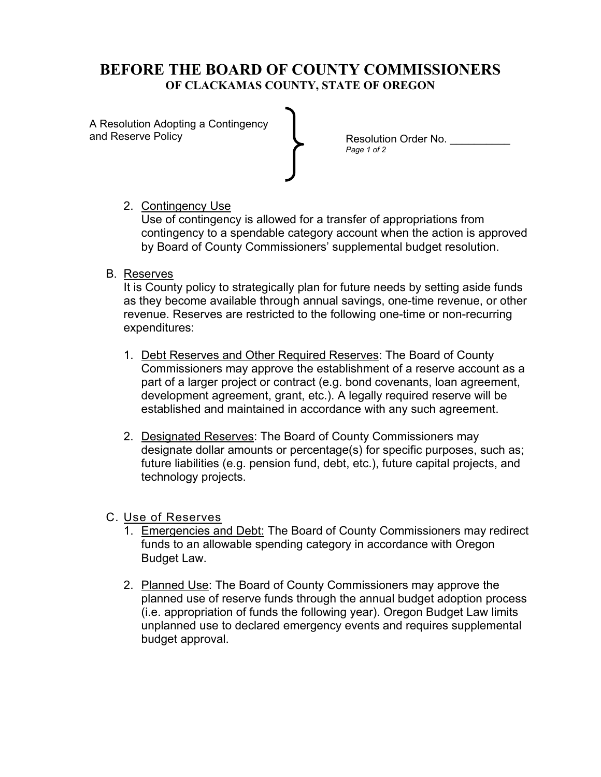A Resolution Adopting a Contingency and Reserve Policy

Resolution Order No. *Page 1 of 2* 

# 2. Contingency Use

Use of contingency is allowed for a transfer of appropriations from contingency to a spendable category account when the action is approved by Board of County Commissioners' supplemental budget resolution.

## B. Reserves

It is County policy to strategically plan for future needs by setting aside funds as they become available through annual savings, one-time revenue, or other revenue. Reserves are restricted to the following one-time or non-recurring expenditures:

- 1. Debt Reserves and Other Required Reserves: The Board of County Commissioners may approve the establishment of a reserve account as a part of a larger project or contract (e.g. bond covenants, loan agreement, development agreement, grant, etc.). A legally required reserve will be established and maintained in accordance with any such agreement.
- 2. Designated Reserves: The Board of County Commissioners may designate dollar amounts or percentage(s) for specific purposes, such as; future liabilities (e.g. pension fund, debt, etc.), future capital projects, and technology projects.

## C. Use of Reserves

- 1. Emergencies and Debt: The Board of County Commissioners may redirect funds to an allowable spending category in accordance with Oregon Budget Law.
- 2. Planned Use: The Board of County Commissioners may approve the planned use of reserve funds through the annual budget adoption process (i.e. appropriation of funds the following year). Oregon Budget Law limits unplanned use to declared emergency events and requires supplemental budget approval.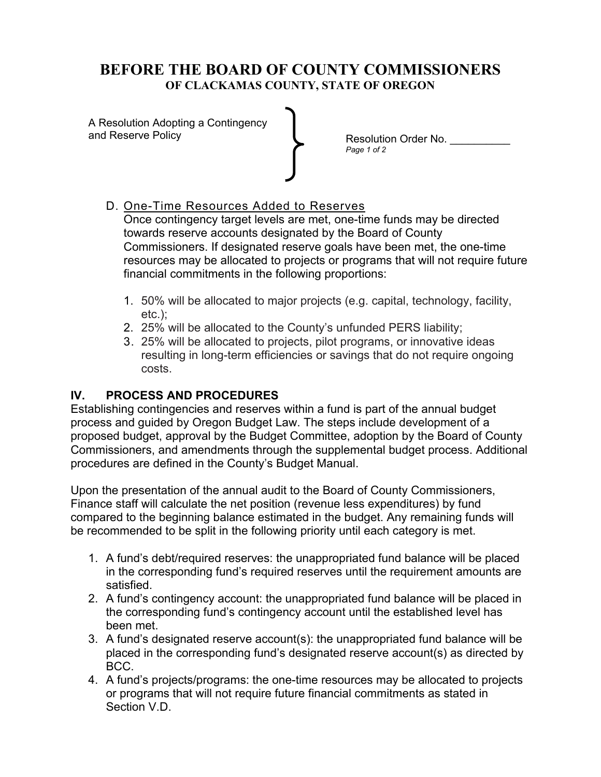A Resolution Adopting a Contingency and Reserve Policy

Resolution Order No. *Page 1 of 2* 

# D. One-Time Resources Added to Reserves

Once contingency target levels are met, one-time funds may be directed towards reserve accounts designated by the Board of County Commissioners. If designated reserve goals have been met, the one-time resources may be allocated to projects or programs that will not require future financial commitments in the following proportions:

- 1. 50% will be allocated to major projects (e.g. capital, technology, facility, etc.);
- 2. 25% will be allocated to the County's unfunded PERS liability;
- 3. 25% will be allocated to projects, pilot programs, or innovative ideas resulting in long-term efficiencies or savings that do not require ongoing costs.

## **IV. PROCESS AND PROCEDURES**

Establishing contingencies and reserves within a fund is part of the annual budget process and guided by Oregon Budget Law. The steps include development of a proposed budget, approval by the Budget Committee, adoption by the Board of County Commissioners, and amendments through the supplemental budget process. Additional procedures are defined in the County's Budget Manual.

Upon the presentation of the annual audit to the Board of County Commissioners, Finance staff will calculate the net position (revenue less expenditures) by fund compared to the beginning balance estimated in the budget. Any remaining funds will be recommended to be split in the following priority until each category is met.

- 1. A fund's debt/required reserves: the unappropriated fund balance will be placed in the corresponding fund's required reserves until the requirement amounts are satisfied.
- 2. A fund's contingency account: the unappropriated fund balance will be placed in the corresponding fund's contingency account until the established level has been met.
- 3. A fund's designated reserve account(s): the unappropriated fund balance will be placed in the corresponding fund's designated reserve account(s) as directed by BCC.
- 4. A fund's projects/programs: the one-time resources may be allocated to projects or programs that will not require future financial commitments as stated in Section V.D.